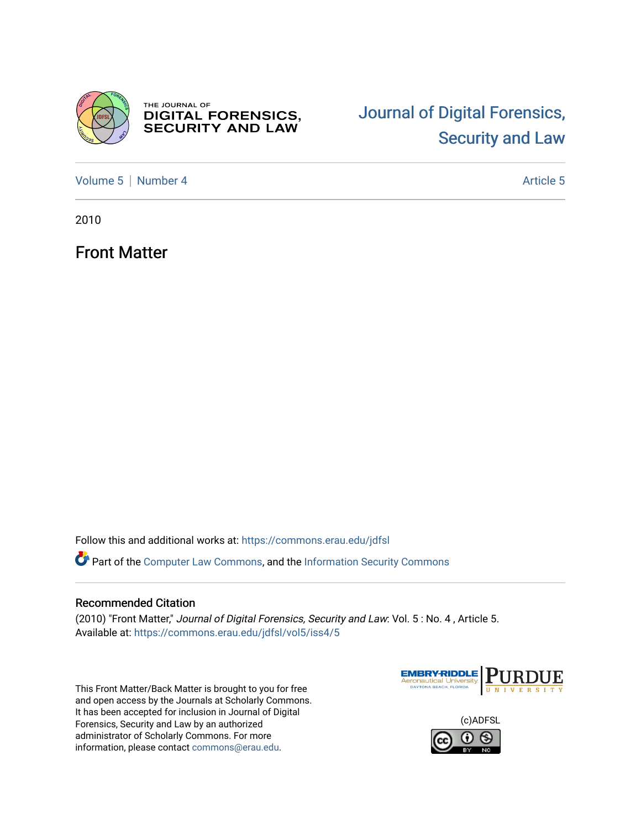

THE JOURNAL OF **DIGITAL FORENSICS,<br>SECURITY AND LAW** 

# [Journal of Digital Forensics,](https://commons.erau.edu/jdfsl)  [Security and Law](https://commons.erau.edu/jdfsl)

[Volume 5](https://commons.erau.edu/jdfsl/vol5) | [Number 4](https://commons.erau.edu/jdfsl/vol5/iss4) Article 5

2010

Front Matter

Follow this and additional works at: [https://commons.erau.edu/jdfsl](https://commons.erau.edu/jdfsl?utm_source=commons.erau.edu%2Fjdfsl%2Fvol5%2Fiss4%2F5&utm_medium=PDF&utm_campaign=PDFCoverPages)

Part of the [Computer Law Commons,](http://network.bepress.com/hgg/discipline/837?utm_source=commons.erau.edu%2Fjdfsl%2Fvol5%2Fiss4%2F5&utm_medium=PDF&utm_campaign=PDFCoverPages) and the [Information Security Commons](http://network.bepress.com/hgg/discipline/1247?utm_source=commons.erau.edu%2Fjdfsl%2Fvol5%2Fiss4%2F5&utm_medium=PDF&utm_campaign=PDFCoverPages) 

#### Recommended Citation

(2010) "Front Matter," Journal of Digital Forensics, Security and Law: Vol. 5 : No. 4 , Article 5. Available at: [https://commons.erau.edu/jdfsl/vol5/iss4/5](https://commons.erau.edu/jdfsl/vol5/iss4/5?utm_source=commons.erau.edu%2Fjdfsl%2Fvol5%2Fiss4%2F5&utm_medium=PDF&utm_campaign=PDFCoverPages) 

This Front Matter/Back Matter is brought to you for free and open access by the Journals at Scholarly Commons. It has been accepted for inclusion in Journal of Digital Forensics, Security and Law by an authorized administrator of Scholarly Commons. For more information, please contact [commons@erau.edu.](mailto:commons@erau.edu)



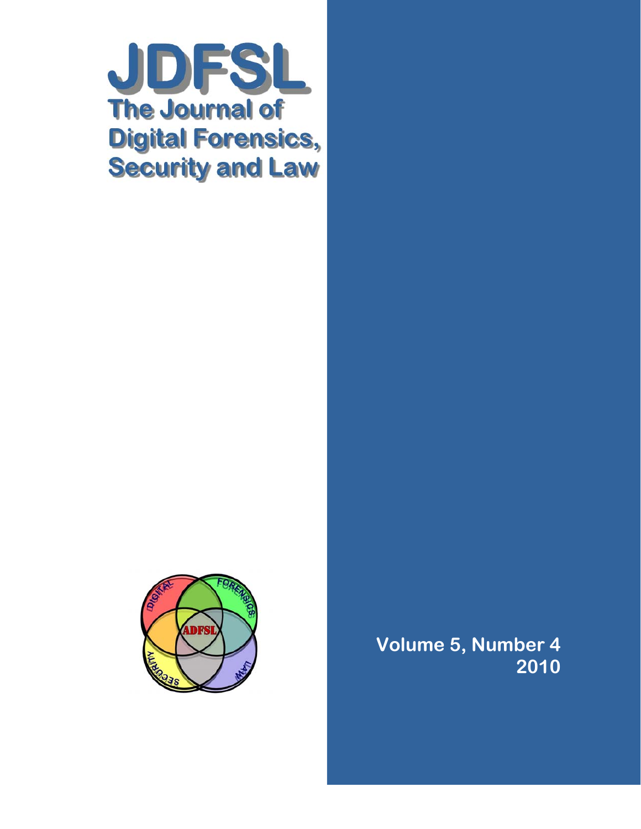



**Volume 5, Number 4 2010**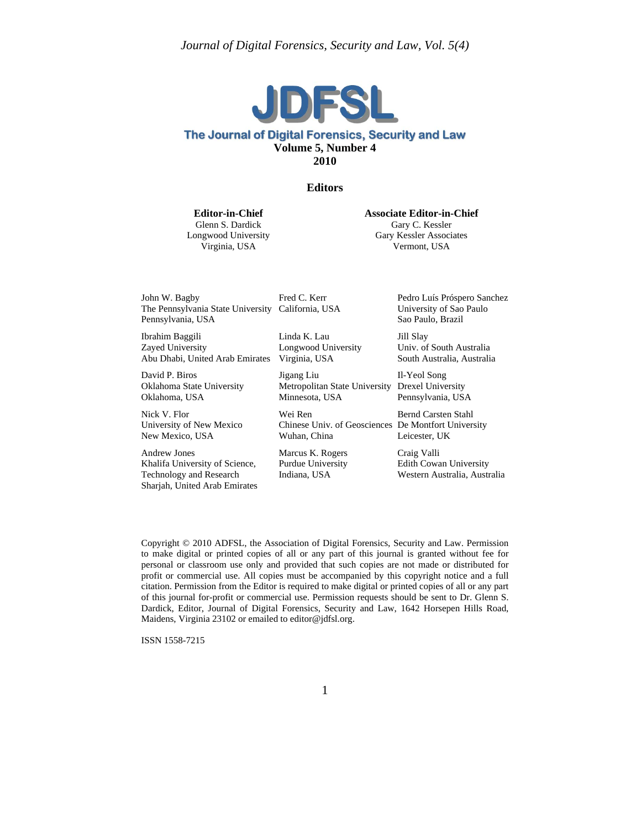

#### The Journal of Digital Forensics, Security and Law **Volume 5, Number 4 2010**

#### **Editors**

**Editor-in-Chief**

Glenn S. Dardick Longwood University Virginia, USA

**Associate Editor-in-Chief**

Gary C. Kessler Gary Kessler Associates Vermont, USA

John W. Bagby The Pennsylvania State University California, USA Pennsylvania, USA

Ibrahim Baggili Zayed University Abu Dhabi, United Arab Emirates Virginia, USA

David P. Biros Oklahoma State University Oklahoma, USA

Nick V. Flor University of New Mexico New Mexico, USA

Andrew Jones Khalifa University of Science, Technology and Research Sharjah, United Arab Emirates Fred C. Kerr

Linda K. Lau Longwood University

Jigang Liu Metropolitan State University Drexel University Minnesota, USA

Wei Ren Chinese Univ. of Geosciences De Montfort University Wuhan, China

Marcus K. Rogers Purdue University Indiana, USA

Pedro Luís Próspero Sanchez University of Sao Paulo Sao Paulo, Brazil

Jill Slay Univ. of South Australia South Australia, Australia

Il-Yeol Song Pennsylvania, USA

Bernd Carsten Stahl Leicester, UK

Craig Valli Edith Cowan University Western Australia, Australia

Copyright © 2010 ADFSL, the Association of Digital Forensics, Security and Law. Permission to make digital or printed copies of all or any part of this journal is granted without fee for personal or classroom use only and provided that such copies are not made or distributed for profit or commercial use. All copies must be accompanied by this copyright notice and a full citation. Permission from the Editor is required to make digital or printed copies of all or any part of this journal for-profit or commercial use. Permission requests should be sent to Dr. Glenn S. Dardick, Editor, Journal of Digital Forensics, Security and Law, 1642 Horsepen Hills Road, Maidens, Virginia 23102 or emailed to editor@jdfsl.org.

ISSN 1558-7215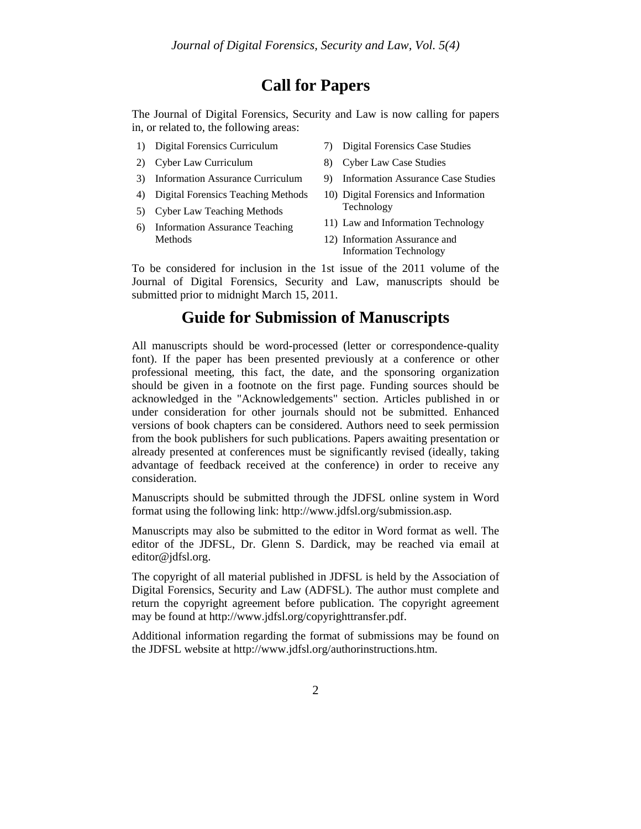### **Call for Papers**

The Journal of Digital Forensics, Security and Law is now calling for papers in, or related to, the following areas:

- 1) Digital Forensics Curriculum
- 2) Cyber Law Curriculum
- 3) Information Assurance Curriculum
- 4) Digital Forensics Teaching Methods
- 5) Cyber Law Teaching Methods
- 6) Information Assurance Teaching Methods
- 7) Digital Forensics Case Studies
- 8) Cyber Law Case Studies
- 9) Information Assurance Case Studies
- 10) Digital Forensics and Information Technology
- 11) Law and Information Technology
- 12) Information Assurance and Information Technology

To be considered for inclusion in the 1st issue of the 2011 volume of the Journal of Digital Forensics, Security and Law, manuscripts should be submitted prior to midnight March 15, 2011.

### **Guide for Submission of Manuscripts**

All manuscripts should be word-processed (letter or correspondence-quality font). If the paper has been presented previously at a conference or other professional meeting, this fact, the date, and the sponsoring organization should be given in a footnote on the first page. Funding sources should be acknowledged in the "Acknowledgements" section. Articles published in or under consideration for other journals should not be submitted. Enhanced versions of book chapters can be considered. Authors need to seek permission from the book publishers for such publications. Papers awaiting presentation or already presented at conferences must be significantly revised (ideally, taking advantage of feedback received at the conference) in order to receive any consideration.

Manuscripts should be submitted through the JDFSL online system in Word format using the following link: http://www.jdfsl.org/submission.asp.

Manuscripts may also be submitted to the editor in Word format as well. The editor of the JDFSL, Dr. Glenn S. Dardick, may be reached via email at editor@jdfsl.org.

The copyright of all material published in JDFSL is held by the Association of Digital Forensics, Security and Law (ADFSL). The author must complete and return the copyright agreement before publication. The copyright agreement may be found at http://www.jdfsl.org/copyrighttransfer.pdf.

Additional information regarding the format of submissions may be found on the JDFSL website at http://www.jdfsl.org/authorinstructions.htm.